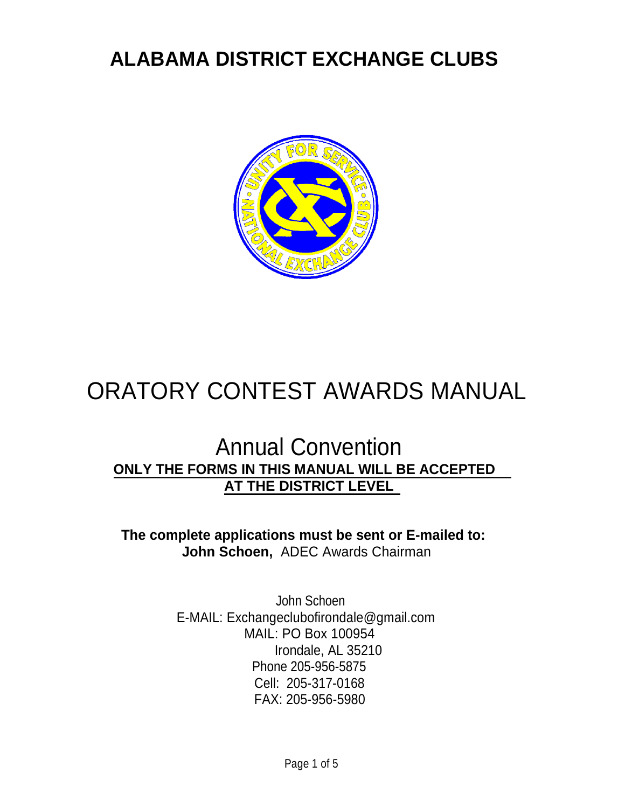## **ALABAMA DISTRICT EXCHANGE CLUBS**



# ORATORY CONTEST AWARDS MANUAL

## Annual Convention **ONLY THE FORMS IN THIS MANUAL WILL BE ACCEPTED AT THE DISTRICT LEVEL**

**The complete applications must be sent or E-mailed to: John Schoen,** ADEC Awards Chairman

> John Schoen E-MAIL: [Exchangeclubofirondale@gmail.com](mailto:Exchangeclubofirondale@gmail.com) MAIL: PO Box [100954](mailto:Exchangeclubofirondale@gmail.com) Irondale, AL 35210 Phone 205-956-5875 [Cell: 205-317-0168](mailto:Exchangeclubofirondale@gmail.com) FAX: 205-956-5980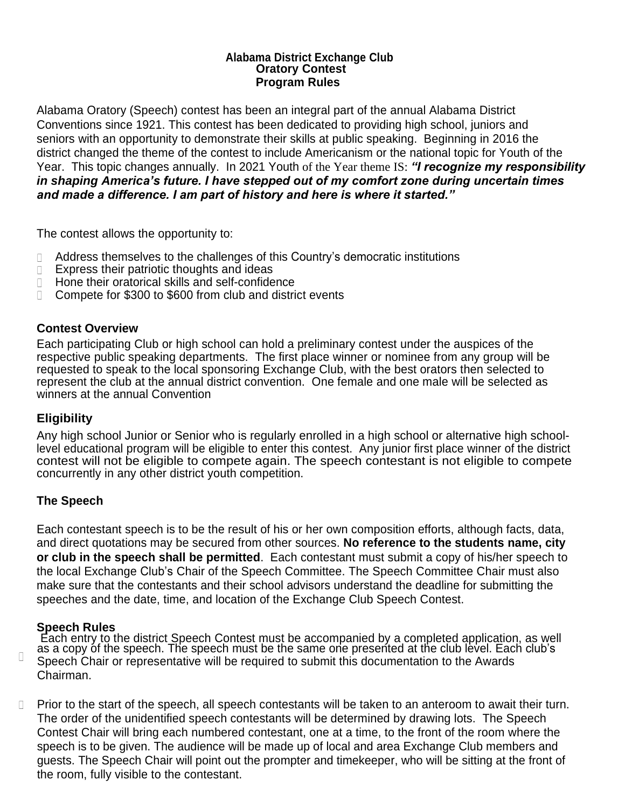#### **Alabama District Exchange Club Oratory Contest Program Rules**

Alabama Oratory (Speech) contest has been an integral part of the annual Alabama District Conventions since 1921. This contest has been dedicated to providing high school, juniors and seniors with an opportunity to demonstrate their skills at public speaking. Beginning in 2016 the district changed the theme of the contest to include Americanism or the national topic for Youth of the Year. This topic changes annually. In 2021 Youth of the Year theme IS: *"I recognize my responsibility in shaping America's future. I have stepped out of my comfort zone during uncertain times and made a difference. I am part of history and here is where it started."*

The contest allows the opportunity to:

- Address themselves to the challenges of this Country's democratic institutions  $\Box$
- Express their patriotic thoughts and ideas  $\Box$
- Hone their oratorical skills and self-confidence  $\Box$
- $\Box$ Compete for \$300 to \$600 from club and district events

#### **Contest Overview**

Each participating Club or high school can hold a preliminary contest under the auspices of the respective public speaking departments. The first place winner or nominee from any group will be requested to speak to the local sponsoring Exchange Club, with the best orators then selected to represent the club at the annual district convention. One female and one male will be selected as winners at the annual Convention

#### **Eligibility**

Any high school Junior or Senior who is regularly enrolled in a high school or alternative high schoollevel educational program will be eligible to enter this contest. Any junior first place winner of the district contest will not be eligible to compete again. The speech contestant is not eligible to compete concurrently in any other district youth competition.

#### **The Speech**

Each contestant speech is to be the result of his or her own composition efforts, although facts, data, and direct quotations may be secured from other sources. **No reference to the students name, city or club in the speech shall be permitted**. Each contestant must submit a copy of his/her speech to the local Exchange Club's Chair of the Speech Committee. The Speech Committee Chair must also make sure that the contestants and their school advisors understand the deadline for submitting the speeches and the date, time, and location of the Exchange Club Speech Contest.

#### **Speech Rules**

 $\Box$ 

Each entry to the district Speech Contest must be accompanied by a completed application, as well as a copy óf the speech. The speech must be the same one presented at the club level. Each club's Speech Chair or representative will be required to submit this documentation to the Awards Chairman.

 $\Box$ Prior to the start of the speech, all speech contestants will be taken to an anteroom to await their turn. The order of the unidentified speech contestants will be determined by drawing lots. The Speech Contest Chair will bring each numbered contestant, one at a time, to the front of the room where the speech is to be given. The audience will be made up of local and area Exchange Club members and guests. The Speech Chair will point out the prompter and timekeeper, who will be sitting at the front of the room, fully visible to the contestant.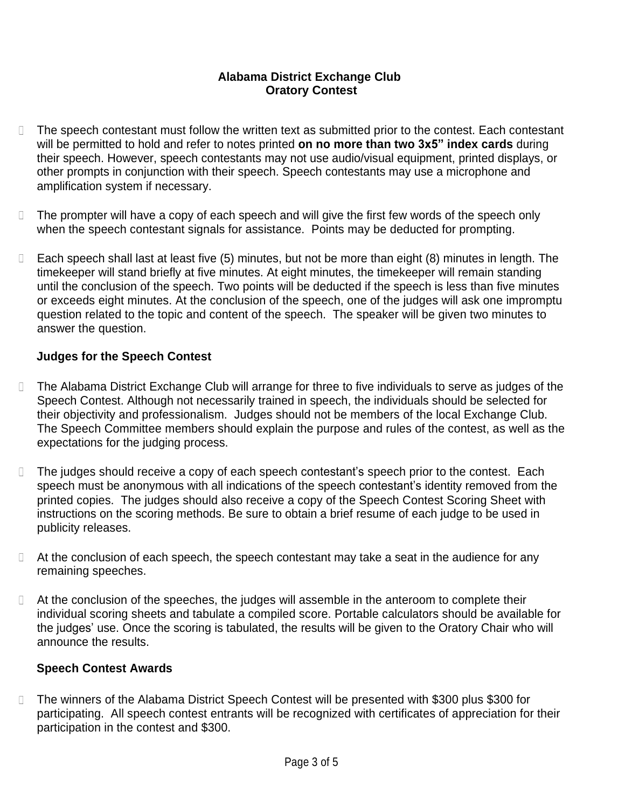#### **Alabama District Exchange Club Oratory Contest**

- $\Box$ The speech contestant must follow the written text as submitted prior to the contest. Each contestant will be permitted to hold and refer to notes printed **on no more than two 3x5" index cards** during their speech. However, speech contestants may not use audio/visual equipment, printed displays, or other prompts in conjunction with their speech. Speech contestants may use a microphone and amplification system if necessary.
- $\Box$ The prompter will have a copy of each speech and will give the first few words of the speech only when the speech contestant signals for assistance. Points may be deducted for prompting.
- $\Box$ Each speech shall last at least five (5) minutes, but not be more than eight (8) minutes in length. The timekeeper will stand briefly at five minutes. At eight minutes, the timekeeper will remain standing until the conclusion of the speech. Two points will be deducted if the speech is less than five minutes or exceeds eight minutes. At the conclusion of the speech, one of the judges will ask one impromptu question related to the topic and content of the speech. The speaker will be given two minutes to answer the question.

#### **Judges for the Speech Contest**

- The Alabama District Exchange Club will arrange for three to five individuals to serve as judges of the  $\Box$ Speech Contest. Although not necessarily trained in speech, the individuals should be selected for their objectivity and professionalism. Judges should not be members of the local Exchange Club. The Speech Committee members should explain the purpose and rules of the contest, as well as the expectations for the judging process.
- $\Box$ The judges should receive a copy of each speech contestant's speech prior to the contest. Each speech must be anonymous with all indications of the speech contestant's identity removed from the printed copies. The judges should also receive a copy of the Speech Contest Scoring Sheet with instructions on the scoring methods. Be sure to obtain a brief resume of each judge to be used in publicity releases.
- $\Box$  At the conclusion of each speech, the speech contestant may take a seat in the audience for any remaining speeches.
- □ At the conclusion of the speeches, the judges will assemble in the anteroom to complete their individual scoring sheets and tabulate a compiled score. Portable calculators should be available for the judges' use. Once the scoring is tabulated, the results will be given to the Oratory Chair who will announce the results.

#### **Speech Contest Awards**

The winners of the Alabama District Speech Contest will be presented with \$300 plus \$300 for  $\Box$ participating. All speech contest entrants will be recognized with certificates of appreciation for their participation in the contest and \$300.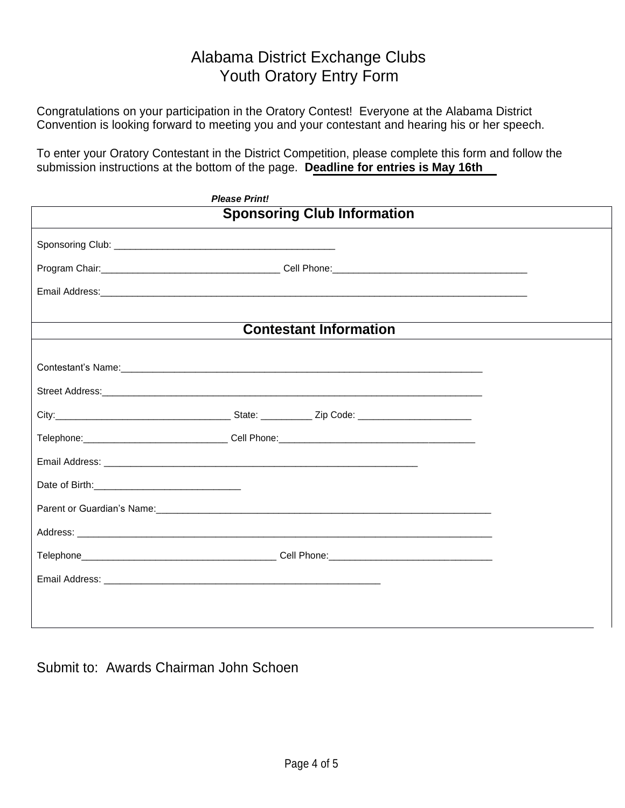### Alabama District Exchange Clubs Youth Oratory Entry Form

Congratulations on your participation in the Oratory Contest! Everyone at the Alabama District Convention is looking forward to meeting you and your contestant and hearing his or her speech.

To enter your Oratory Contestant in the District Competition, please complete this form and follow the submission instructions at the bottom of the page. **Deadline for entries is May 16th**

| <b>Please Print!</b>                             |  |
|--------------------------------------------------|--|
| <b>Sponsoring Club Information</b>               |  |
|                                                  |  |
|                                                  |  |
|                                                  |  |
| <b>Contestant Information</b>                    |  |
|                                                  |  |
| Contestant's Name:<br><u> Contestant's Name:</u> |  |
|                                                  |  |
|                                                  |  |
|                                                  |  |
|                                                  |  |
|                                                  |  |
|                                                  |  |
|                                                  |  |
|                                                  |  |
|                                                  |  |
|                                                  |  |
|                                                  |  |

Submit to: Awards Chairman John Schoen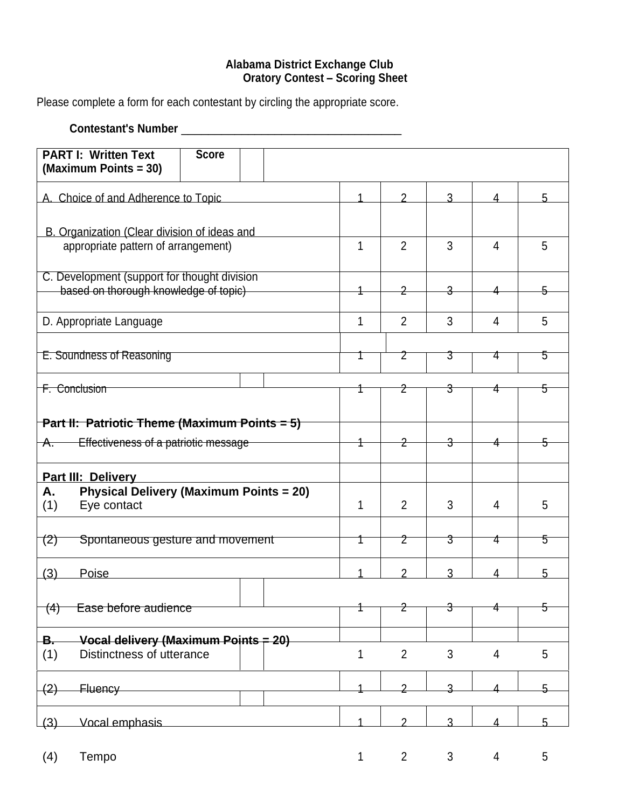#### **Alabama District Exchange Club Oratory Contest – Scoring Sheet**

Please complete a form for each contestant by circling the appropriate score.

#### **Contestant's Number** \_\_\_\_\_\_\_\_\_\_\_\_\_\_\_\_\_\_\_\_\_\_\_\_\_\_\_\_\_\_\_\_\_

| <b>PART I: Written Text</b><br>(Maximum Points = 30)                                  | <b>Score</b>                     |  |   |                |   |                |    |
|---------------------------------------------------------------------------------------|----------------------------------|--|---|----------------|---|----------------|----|
| A. Choice of and Adherence to Topic                                                   |                                  |  |   | 2              | 3 | 4              | 5  |
| B. Organization (Clear division of ideas and                                          |                                  |  |   |                |   |                |    |
| appropriate pattern of arrangement)                                                   |                                  |  | 1 | $\overline{2}$ | 3 | $\overline{4}$ | 5  |
| C. Development (support for thought division<br>based on thorough knowledge of topic) |                                  |  | 2 |                |   |                |    |
| D. Appropriate Language                                                               |                                  |  | 1 | $\overline{2}$ | 3 | $\overline{4}$ | 5  |
| E. Soundness of Reasoning                                                             |                                  |  |   | 2              | 3 | 4              | 5  |
| <b>F. Conclusion</b>                                                                  |                                  |  |   | 2              | 3 | 4              | 5  |
| <b>Part II: Patriotic Theme (Maximum Points = 5)</b>                                  |                                  |  |   |                |   |                |    |
| Effectiveness of a patriotic message<br><del>A.</del>                                 |                                  |  |   |                |   |                |    |
| Part III: Delivery                                                                    |                                  |  |   |                |   |                |    |
| <b>Physical Delivery (Maximum Points = 20)</b><br>Α.<br>Eye contact<br>(1)            |                                  |  | 1 | $\overline{2}$ | 3 | 4              | 5  |
| (2)                                                                                   | Spontaneous gesture and movement |  |   |                | 3 | 4              | 5  |
| (3)<br>Poise                                                                          |                                  |  |   | 2              | 3 | 4              | 5  |
| Ease before audience<br>(4)                                                           |                                  |  |   | <del>2</del>   | 3 |                | 5  |
| Vocal delivery (Maximum Points = 20)<br>-В.<br>(1)<br>Distinctness of utterance       |                                  |  | 1 | $\overline{2}$ | 3 | $\overline{4}$ | 5  |
| <b>Fluency</b><br>$\left( 2\right)$                                                   |                                  |  |   | っ              | 2 |                | 5. |
| Vocal emphasis<br>(3)                                                                 |                                  |  | 1 | 2              | ঽ | Δ              | 5  |
| Tempo<br>(4)                                                                          |                                  |  | 1 | $\overline{2}$ | 3 | 4              | 5  |